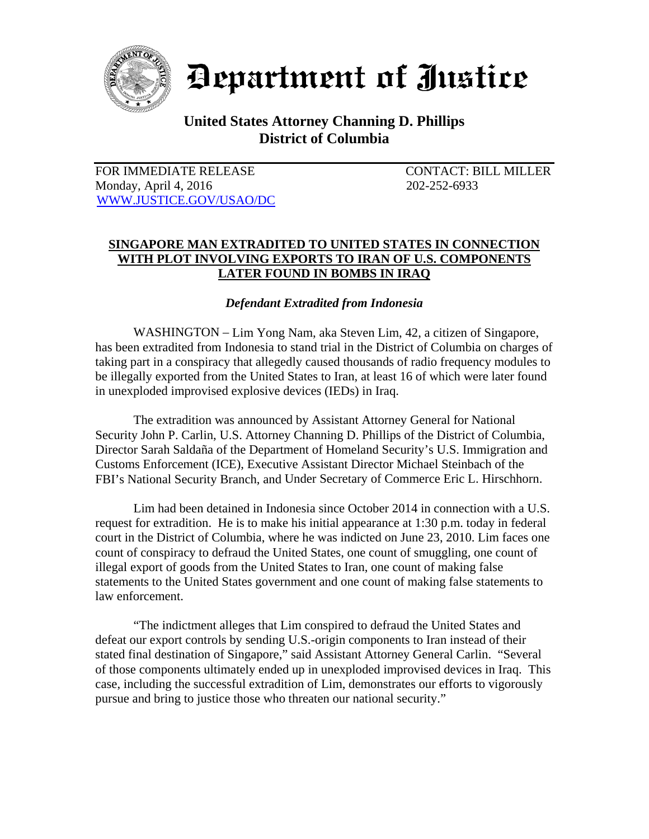

Department of Justice

## **United States Attorney Channing D. Phillips District of Columbia**

FOR IMMEDIATE RELEASE CONTACT: BILL MILLER Monday, April 4, 2016 202-252-6933 WWW.JUSTICE.GOV/USAO/DC

## **SINGAPORE MAN EXTRADITED TO UNITED STATES IN CONNECTION WITH PLOT INVOLVING EXPORTS TO IRAN OF U.S. COMPONENTS LATER FOUND IN BOMBS IN IRAQ**

## *Defendant Extradited from Indonesia*

 WASHINGTON – Lim Yong Nam, aka Steven Lim, 42, a citizen of Singapore, has been extradited from Indonesia to stand trial in the District of Columbia on charges of taking part in a conspiracy that allegedly caused thousands of radio frequency modules to be illegally exported from the United States to Iran, at least 16 of which were later found in unexploded improvised explosive devices (IEDs) in Iraq.

The extradition was announced by Assistant Attorney General for National Security John P. Carlin, U.S. Attorney Channing D. Phillips of the District of Columbia, Director Sarah Saldaña of the Department of Homeland Security's U.S. Immigration and Customs Enforcement (ICE), Executive Assistant Director Michael Steinbach of the FBI's National Security Branch, and Under Secretary of Commerce Eric L. Hirschhorn.

 Lim had been detained in Indonesia since October 2014 in connection with a U.S. request for extradition. He is to make his initial appearance at 1:30 p.m. today in federal court in the District of Columbia, where he was indicted on June 23, 2010. Lim faces one count of conspiracy to defraud the United States, one count of smuggling, one count of illegal export of goods from the United States to Iran, one count of making false statements to the United States government and one count of making false statements to law enforcement.

 "The indictment alleges that Lim conspired to defraud the United States and defeat our export controls by sending U.S.-origin components to Iran instead of their stated final destination of Singapore," said Assistant Attorney General Carlin. "Several of those components ultimately ended up in unexploded improvised devices in Iraq. This case, including the successful extradition of Lim, demonstrates our efforts to vigorously pursue and bring to justice those who threaten our national security."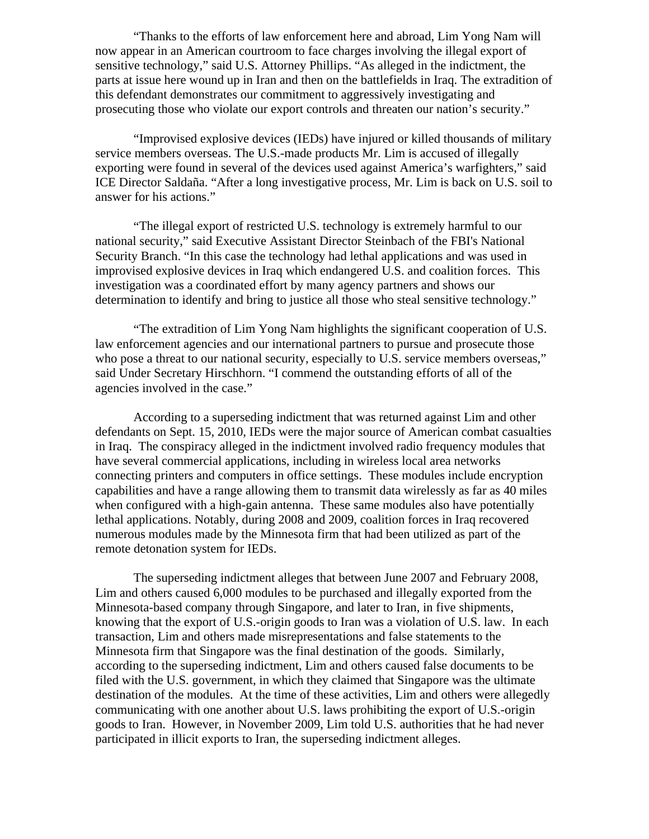"Thanks to the efforts of law enforcement here and abroad, Lim Yong Nam will now appear in an American courtroom to face charges involving the illegal export of sensitive technology," said U.S. Attorney Phillips. "As alleged in the indictment, the parts at issue here wound up in Iran and then on the battlefields in Iraq. The extradition of this defendant demonstrates our commitment to aggressively investigating and prosecuting those who violate our export controls and threaten our nation's security."

"Improvised explosive devices (IEDs) have injured or killed thousands of military service members overseas. The U.S.-made products Mr. Lim is accused of illegally exporting were found in several of the devices used against America's warfighters," said ICE Director Saldaña. "After a long investigative process, Mr. Lim is back on U.S. soil to answer for his actions."

 "The illegal export of restricted U.S. technology is extremely harmful to our national security," said Executive Assistant Director Steinbach of the FBI's National Security Branch. "In this case the technology had lethal applications and was used in improvised explosive devices in Iraq which endangered U.S. and coalition forces. This investigation was a coordinated effort by many agency partners and shows our determination to identify and bring to justice all those who steal sensitive technology."

"The extradition of Lim Yong Nam highlights the significant cooperation of U.S. law enforcement agencies and our international partners to pursue and prosecute those who pose a threat to our national security, especially to U.S. service members overseas," said Under Secretary Hirschhorn. "I commend the outstanding efforts of all of the agencies involved in the case."

According to a superseding indictment that was returned against Lim and other defendants on Sept. 15, 2010, IEDs were the major source of American combat casualties in Iraq. The conspiracy alleged in the indictment involved radio frequency modules that have several commercial applications, including in wireless local area networks connecting printers and computers in office settings. These modules include encryption capabilities and have a range allowing them to transmit data wirelessly as far as 40 miles when configured with a high-gain antenna. These same modules also have potentially lethal applications. Notably, during 2008 and 2009, coalition forces in Iraq recovered numerous modules made by the Minnesota firm that had been utilized as part of the remote detonation system for IEDs.

 The superseding indictment alleges that between June 2007 and February 2008, Lim and others caused 6,000 modules to be purchased and illegally exported from the Minnesota-based company through Singapore, and later to Iran, in five shipments, knowing that the export of U.S.-origin goods to Iran was a violation of U.S. law. In each transaction, Lim and others made misrepresentations and false statements to the Minnesota firm that Singapore was the final destination of the goods. Similarly, according to the superseding indictment, Lim and others caused false documents to be filed with the U.S. government, in which they claimed that Singapore was the ultimate destination of the modules. At the time of these activities, Lim and others were allegedly communicating with one another about U.S. laws prohibiting the export of U.S.-origin goods to Iran. However, in November 2009, Lim told U.S. authorities that he had never participated in illicit exports to Iran, the superseding indictment alleges.